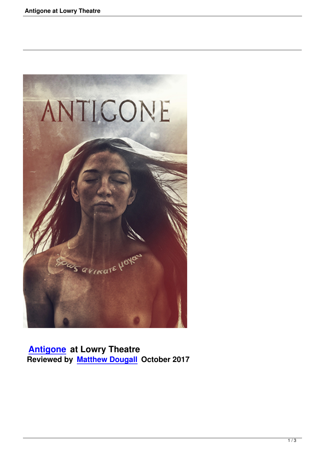

 **Antigone at Lowry Theatre Reviewed by Matthew Dougall October 2017**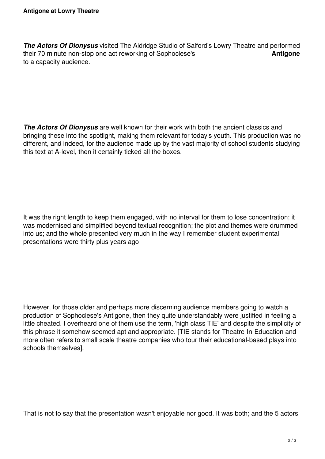**The Actors Of Dionysus** visited The Aldridge Studio of Salford's Lowry Theatre and performed their 70 minute non-stop one act reworking of Sophoclese's their 70 minute non-stop one act reworking of Sophoclese's **Antigone** to a capacity audience.

*The Actors Of Dionysus* are well known for their work with both the ancient classics and bringing these into the spotlight, making them relevant for today's youth. This production was no different, and indeed, for the audience made up by the vast majority of school students studying this text at A-level, then it certainly ticked all the boxes.

It was the right length to keep them engaged, with no interval for them to lose concentration; it was modernised and simplified beyond textual recognition; the plot and themes were drummed into us; and the whole presented very much in the way I remember student experimental presentations were thirty plus years ago!

However, for those older and perhaps more discerning audience members going to watch a production of Sophoclese's Antigone, then they quite understandably were justified in feeling a little cheated. I overheard one of them use the term, 'high class TIE' and despite the simplicity of this phrase it somehow seemed apt and appropriate. [TIE stands for Theatre-In-Education and more often refers to small scale theatre companies who tour their educational-based plays into schools themselves].

That is not to say that the presentation wasn't enjoyable nor good. It was both; and the 5 actors